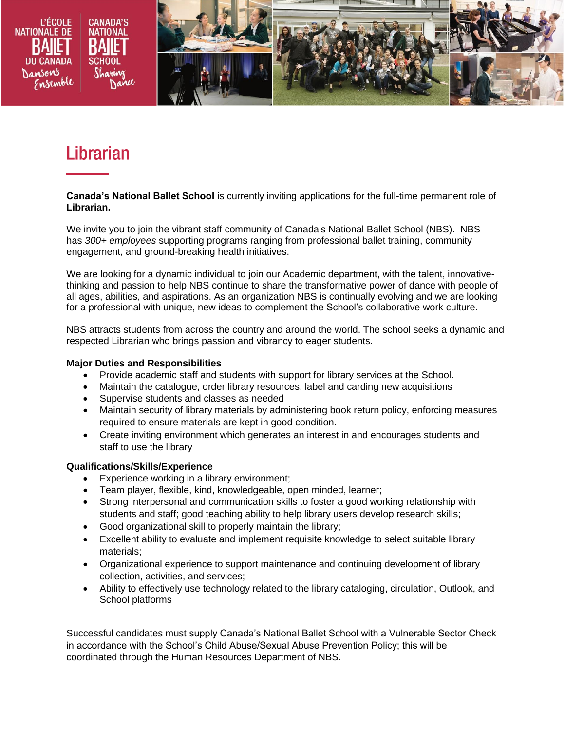

# **Librarian**

**Canada's National Ballet School** is currently inviting applications for the full-time permanent role of **Librarian.**

We invite you to join the vibrant staff community of Canada's National Ballet School (NBS). NBS has *300+ employees* supporting programs ranging from professional ballet training, community engagement, and ground-breaking health initiatives.

We are looking for a dynamic individual to join our Academic department, with the talent, innovativethinking and passion to help NBS continue to share the transformative power of dance with people of all ages, abilities, and aspirations. As an organization NBS is continually evolving and we are looking for a professional with unique, new ideas to complement the School's collaborative work culture.

NBS attracts students from across the country and around the world. The school seeks a dynamic and respected Librarian who brings passion and vibrancy to eager students.

#### **Major Duties and Responsibilities**

- Provide academic staff and students with support for library services at the School.
- Maintain the catalogue, order library resources, label and carding new acquisitions
- Supervise students and classes as needed
- Maintain security of library materials by administering book return policy, enforcing measures required to ensure materials are kept in good condition.
- Create inviting environment which generates an interest in and encourages students and staff to use the library

#### **Qualifications/Skills/Experience**

- **Experience working in a library environment;**
- Team player, flexible, kind, knowledgeable, open minded, learner;
- Strong interpersonal and communication skills to foster a good working relationship with students and staff; good teaching ability to help library users develop research skills;
- Good organizational skill to properly maintain the library;
- Excellent ability to evaluate and implement requisite knowledge to select suitable library materials;
- Organizational experience to support maintenance and continuing development of library collection, activities, and services;
- Ability to effectively use technology related to the library cataloging, circulation, Outlook, and School platforms

Successful candidates must supply Canada's National Ballet School with a Vulnerable Sector Check in accordance with the School's Child Abuse/Sexual Abuse Prevention Policy; this will be coordinated through the Human Resources Department of NBS.